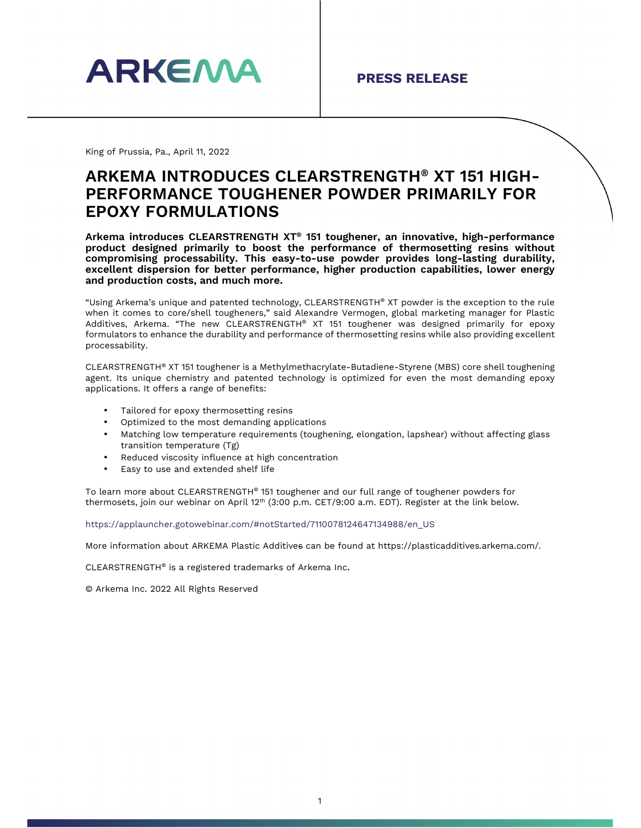

King of Prussia, Pa., April 11, 2022

## **ARKEMA INTRODUCES CLEARSTRENGTH® XT 151 HIGH-PERFORMANCE TOUGHENER POWDER PRIMARILY FOR EPOXY FORMULATIONS**

**Arkema introduces CLEARSTRENGTH XT® 151 toughener, an innovative, high-performance product designed primarily to boost the performance of thermosetting resins without compromising processability. This easy-to-use powder provides long-lasting durability, excellent dispersion for better performance, higher production capabilities, lower energy and production costs, and much more.** 

"Using Arkema's unique and patented technology, CLEARSTRENGTH® XT powder is the exception to the rule when it comes to core/shell tougheners," said Alexandre Vermogen, global marketing manager for Plastic Additives, Arkema. "The new CLEARSTRENGTH® XT 151 toughener was designed primarily for epoxy formulators to enhance the durability and performance of thermosetting resins while also providing excellent processability.

CLEARSTRENGTH® XT 151 toughener is a Methylmethacrylate-Butadiene-Styrene (MBS) core shell toughening agent. Its unique chemistry and patented technology is optimized for even the most demanding epoxy applications. It offers a range of benefits:

- Tailored for epoxy thermosetting resins
- Optimized to the most demanding applications
- Matching low temperature requirements (toughening, elongation, lapshear) without affecting glass transition temperature (Tg)
- Reduced viscosity influence at high concentration
- Easy to use and extended shelf life

To learn more about CLEARSTRENGTH® 151 toughener and our full range of toughener powders for thermosets, join our webinar on April  $12<sup>th</sup>$  (3:00 p.m. CET/9:00 a.m. EDT). Register at the link below.

https://applauncher.gotowebinar.com/#notStarted/7110078124647134988/en\_US

More information about ARKEMA Plastic Additives can be found at https://plasticadditives.arkema.com/.

CLEARSTRENGTH® is a registered trademarks of Arkema Inc.

© Arkema Inc. 2022 All Rights Reserved